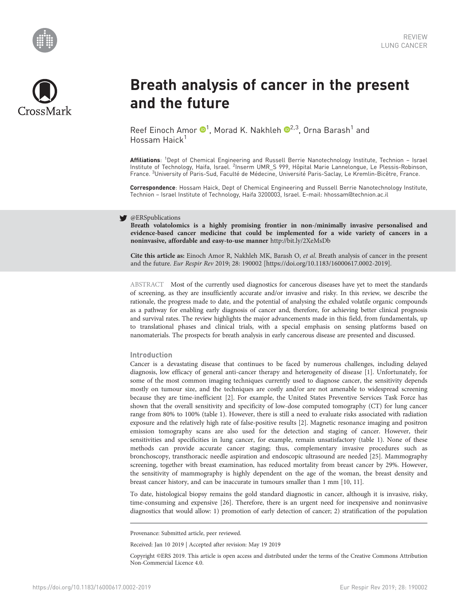



# Breath analysis of cancer in the present and the future

Reef Einoch Amor  $\mathbf{D}^1$ , Morad K. Nakhleh  $\mathbf{D}^{2,3}$ , Orna Barash<sup>1</sup> and Hossam Haick<sup>1</sup>

Affiliations: <sup>1</sup>Dept of Chemical Engineering and Russell Berrie Nanotechnology Institute, Technion – Israel Institute of Technology, Haifa, Israel. <sup>2</sup>Inserm UMR\_S 999, Hôpital Marie Lannelongue, Le Plessis-Robinson, France. <sup>3</sup> University of Paris-Sud, Faculté de Médecine, Université Paris-Saclay, Le Kremlin-Bicêtre, France.

Correspondence: Hossam Haick, Dept of Chemical Engineering and Russell Berrie Nanotechnology Institute, Technion – Israel Institute of Technology, Haifa 3200003, Israel. E-mail: [hhossam@technion.ac.il](mailto:hhossam@technion.ac.il)

#### y @ERSpublications

Breath volatolomics is a highly promising frontier in non-/minimally invasive personalised and evidence-based cancer medicine that could be implemented for a wide variety of cancers in a noninvasive, affordable and easy-to-use manner <http://bit.ly/2XeMsDb>

Cite this article as: Einoch Amor R, Nakhleh MK, Barash O, et al. Breath analysis of cancer in the present and the future. Eur Respir Rev 2019; 28: 190002 [\[https://doi.org/10.1183/16000617.0002-2019\].](https://doi.org/10.1183/16000617.0002-2019)

ABSTRACT Most of the currently used diagnostics for cancerous diseases have yet to meet the standards of screening, as they are insufficiently accurate and/or invasive and risky. In this review, we describe the rationale, the progress made to date, and the potential of analysing the exhaled volatile organic compounds as a pathway for enabling early diagnosis of cancer and, therefore, for achieving better clinical prognosis and survival rates. The review highlights the major advancements made in this field, from fundamentals, up to translational phases and clinical trials, with a special emphasis on sensing platforms based on nanomaterials. The prospects for breath analysis in early cancerous disease are presented and discussed.

#### Introduction

Cancer is a devastating disease that continues to be faced by numerous challenges, including delayed diagnosis, low efficacy of general anti-cancer therapy and heterogeneity of disease [\[1\]](#page-7-0). Unfortunately, for some of the most common imaging techniques currently used to diagnose cancer, the sensitivity depends mostly on tumour size, and the techniques are costly and/or are not amenable to widespread screening because they are time-inefficient [\[2\]](#page-7-0). For example, the United States Preventive Services Task Force has shown that the overall sensitivity and specificity of low-dose computed tomography (CT) for lung cancer range from 80% to 100% ([table 1](#page-1-0)). However, there is still a need to evaluate risks associated with radiation exposure and the relatively high rate of false-positive results [\[2](#page-7-0)]. Magnetic resonance imaging and positron emission tomography scans are also used for the detection and staging of cancer. However, their sensitivities and specificities in lung cancer, for example, remain unsatisfactory ([table 1\)](#page-1-0). None of these methods can provide accurate cancer staging; thus, complementary invasive procedures such as bronchoscopy, transthoracic needle aspiration and endoscopic ultrasound are needed [\[25\]](#page-8-0). Mammography screening, together with breast examination, has reduced mortality from breast cancer by 29%. However, the sensitivity of mammography is highly dependent on the age of the woman, the breast density and breast cancer history, and can be inaccurate in tumours smaller than 1 mm [\[10](#page-8-0), [11](#page-8-0)].

To date, histological biopsy remains the gold standard diagnostic in cancer, although it is invasive, risky, time-consuming and expensive [[26](#page-8-0)]. Therefore, there is an urgent need for inexpensive and noninvasive diagnostics that would allow: 1) promotion of early detection of cancer; 2) stratification of the population

Received: Jan 10 2019 | Accepted after revision: May 19 2019

Copyright ©ERS 2019. This article is open access and distributed under the terms of the Creative Commons Attribution Non-Commercial Licence 4.0.

Provenance: Submitted article, peer reviewed.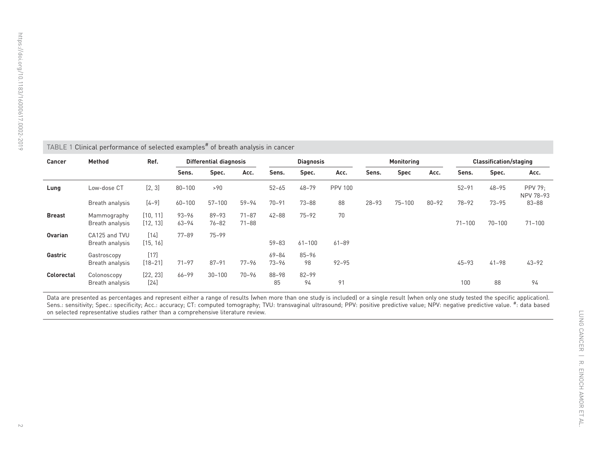<span id="page-1-0"></span>

| Clinical performance of selected examples <sup>#</sup> of breath analysis in cancer<br>TABLE 1 |                                  |                       |                               |                        |                        |                    |                 |                |                   |             |           |                               |            |                             |
|------------------------------------------------------------------------------------------------|----------------------------------|-----------------------|-------------------------------|------------------------|------------------------|--------------------|-----------------|----------------|-------------------|-------------|-----------|-------------------------------|------------|-----------------------------|
| Cancer                                                                                         | Method                           | Ref.                  | <b>Differential diagnosis</b> |                        |                        | <b>Diagnosis</b>   |                 |                | <b>Monitoring</b> |             |           | <b>Classification/staging</b> |            |                             |
|                                                                                                |                                  |                       | Sens.                         | Spec.                  | Acc.                   | Sens.              | Spec.           | Acc.           | Sens.             | <b>Spec</b> | Acc.      | Sens.                         | Spec.      | Acc.                        |
| Lung                                                                                           | Low-dose CT                      | [2, 3]                | $80 - 100$                    | >90                    |                        | $52 - 65$          | $48 - 79$       | <b>PPV 100</b> |                   |             |           | $52 - 91$                     | $48 - 95$  | <b>PPV 79:</b><br>NPV 78-93 |
|                                                                                                | Breath analysis                  | $[4 - 9]$             | $60 - 100$                    | $57 - 100$             | $59 - 94$              | $70 - 91$          | $73 - 88$       | 88             | $28 - 93$         | $75 - 100$  | $80 - 92$ | $78 - 92$                     | $73 - 95$  | 83-88                       |
| <b>Breast</b>                                                                                  | Mammography<br>Breath analysis   | [10, 11]<br>[12, 13]  | $93 - 96$<br>$63 - 94$        | $89 - 93$<br>$76 - 82$ | $71 - 87$<br>$71 - 88$ | $42 - 88$          | $75 - 92$       | 70             |                   |             |           | $71 - 100$                    | $70 - 100$ | $71 - 100$                  |
| <b>Ovarian</b>                                                                                 | CA125 and TVU<br>Breath analysis | $[14]$<br>[15, 16]    | $77 - 89$                     | $75 - 99$              |                        | $59 - 83$          | $61 - 100$      | $61 - 89$      |                   |             |           |                               |            |                             |
| Gastric                                                                                        | Gastroscopy<br>Breath analysis   | $[17]$<br>$[18 - 21]$ | $71 - 97$                     | $87 - 91$              | $77 - 96$              | 69-84<br>$73 - 96$ | $85 - 96$<br>98 | $92 - 95$      |                   |             |           | $45 - 93$                     | $41 - 98$  | $43 - 92$                   |
| <b>Colorectal</b>                                                                              | Colonoscopy<br>Breath analysis   | [22, 23]<br>$[24]$    | 66-99                         | $30 - 100$             | $70 - 96$              | $88 - 98$<br>85    | 82-99<br>94     | 91             |                   |             |           | 100                           | 88         | 94                          |

Data are presented as percentages and represent either a range of results (when more than one study is included) or a single result (when only one study tested the specific application).

Sens.: sensitivity; Spec.: specificity; Acc.: accuracy; CT: computed tomography; TVU: transvaginal ultrasound; PPV: positive predictive value; NPV: negative predictive value. #: data based on selected representative studies rather than <sup>a</sup> comprehensive literature review.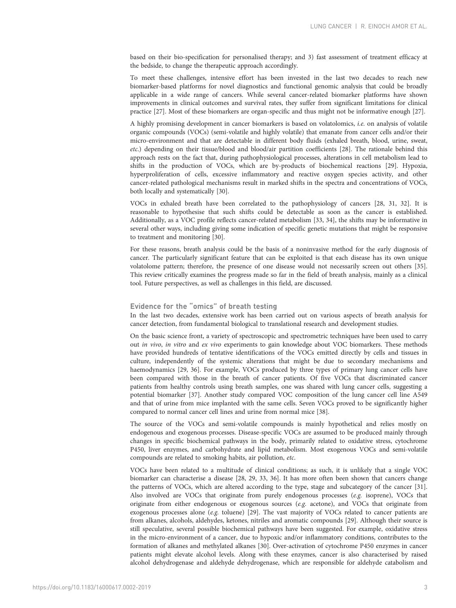based on their bio-specification for personalised therapy; and 3) fast assessment of treatment efficacy at the bedside, to change the therapeutic approach accordingly.

To meet these challenges, intensive effort has been invested in the last two decades to reach new biomarker-based platforms for novel diagnostics and functional genomic analysis that could be broadly applicable in a wide range of cancers. While several cancer-related biomarker platforms have shown improvements in clinical outcomes and survival rates, they suffer from significant limitations for clinical practice [[27](#page-8-0)]. Most of these biomarkers are organ-specific and thus might not be informative enough [\[27\]](#page-8-0).

A highly promising development in cancer biomarkers is based on volatolomics, i.e. on analysis of volatile organic compounds (VOCs) (semi-volatile and highly volatile) that emanate from cancer cells and/or their micro-environment and that are detectable in different body fluids (exhaled breath, blood, urine, sweat, etc.) depending on their tissue/blood and blood/air partition coefficients [[28](#page-8-0)]. The rationale behind this approach rests on the fact that, during pathophysiological processes, alterations in cell metabolism lead to shifts in the production of VOCs, which are by-products of biochemical reactions [[29](#page-8-0)]. Hypoxia, hyperproliferation of cells, excessive inflammatory and reactive oxygen species activity, and other cancer-related pathological mechanisms result in marked shifts in the spectra and concentrations of VOCs, both locally and systematically [[30](#page-8-0)].

VOCs in exhaled breath have been correlated to the pathophysiology of cancers [\[28, 31](#page-8-0), [32\]](#page-8-0). It is reasonable to hypothesise that such shifts could be detectable as soon as the cancer is established. Additionally, as a VOC profile reflects cancer-related metabolism [\[33](#page-8-0), [34](#page-8-0)], the shifts may be informative in several other ways, including giving some indication of specific genetic mutations that might be responsive to treatment and monitoring [\[30\]](#page-8-0).

For these reasons, breath analysis could be the basis of a noninvasive method for the early diagnosis of cancer. The particularly significant feature that can be exploited is that each disease has its own unique volatolome pattern; therefore, the presence of one disease would not necessarily screen out others [[35](#page-8-0)]. This review critically examines the progress made so far in the field of breath analysis, mainly as a clinical tool. Future perspectives, as well as challenges in this field, are discussed.

# Evidence for the "omics" of breath testing

In the last two decades, extensive work has been carried out on various aspects of breath analysis for cancer detection, from fundamental biological to translational research and development studies.

On the basic science front, a variety of spectroscopic and spectrometric techniques have been used to carry out in vivo, in vitro and ex vivo experiments to gain knowledge about VOC biomarkers. These methods have provided hundreds of tentative identifications of the VOCs emitted directly by cells and tissues in culture, independently of the systemic alterations that might be due to secondary mechanisms and haemodynamics [\[29, 36\]](#page-8-0). For example, VOCs produced by three types of primary lung cancer cells have been compared with those in the breath of cancer patients. Of five VOCs that discriminated cancer patients from healthy controls using breath samples, one was shared with lung cancer cells, suggesting a potential biomarker [[37](#page-8-0)]. Another study compared VOC composition of the lung cancer cell line A549 and that of urine from mice implanted with the same cells. Seven VOCs proved to be significantly higher compared to normal cancer cell lines and urine from normal mice [[38](#page-8-0)].

The source of the VOCs and semi-volatile compounds is mainly hypothetical and relies mostly on endogenous and exogenous processes. Disease-specific VOCs are assumed to be produced mainly through changes in specific biochemical pathways in the body, primarily related to oxidative stress, cytochrome P450, liver enzymes, and carbohydrate and lipid metabolism. Most exogenous VOCs and semi-volatile compounds are related to smoking habits, air pollution, etc.

VOCs have been related to a multitude of clinical conditions; as such, it is unlikely that a single VOC biomarker can characterise a disease [[28, 29, 33, 36\]](#page-8-0). It has more often been shown that cancers change the patterns of VOCs, which are altered according to the type, stage and subcategory of the cancer [[31](#page-8-0)]. Also involved are VOCs that originate from purely endogenous processes (e.g. isoprene), VOCs that originate from either endogenous or exogenous sources ( $e.g.$  acetone), and VOCs that originate from exogenous processes alone (e.g. toluene) [\[29\]](#page-8-0). The vast majority of VOCs related to cancer patients are from alkanes, alcohols, aldehydes, ketones, nitriles and aromatic compounds [[29\]](#page-8-0). Although their source is still speculative, several possible biochemical pathways have been suggested. For example, oxidative stress in the micro-environment of a cancer, due to hypoxic and/or inflammatory conditions, contributes to the formation of alkanes and methylated alkanes [[30](#page-8-0)]. Over-activation of cytochrome P450 enzymes in cancer patients might elevate alcohol levels. Along with these enzymes, cancer is also characterised by raised alcohol dehydrogenase and aldehyde dehydrogenase, which are responsible for aldehyde catabolism and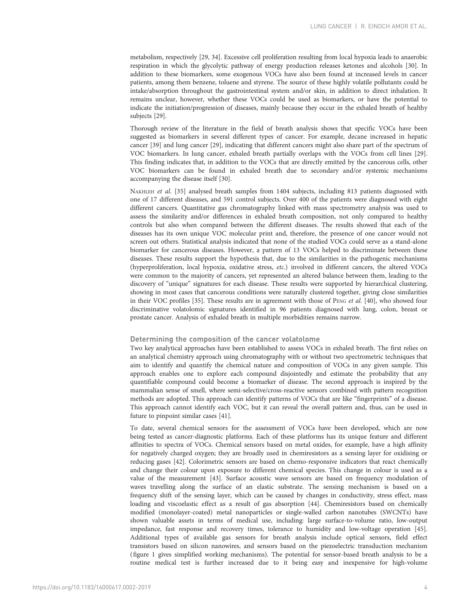metabolism, respectively [\[29, 34](#page-8-0)]. Excessive cell proliferation resulting from local hypoxia leads to anaerobic respiration in which the glycolytic pathway of energy production releases ketones and alcohols [\[30\]](#page-8-0). In addition to these biomarkers, some exogenous VOCs have also been found at increased levels in cancer patients, among them benzene, toluene and styrene. The source of these highly volatile pollutants could be intake/absorption throughout the gastrointestinal system and/or skin, in addition to direct inhalation. It remains unclear, however, whether these VOCs could be used as biomarkers, or have the potential to indicate the initiation/progression of diseases, mainly because they occur in the exhaled breath of healthy subjects [\[29\]](#page-8-0).

Thorough review of the literature in the field of breath analysis shows that specific VOCs have been suggested as biomarkers in several different types of cancer. For example, decane increased in hepatic cancer [\[39\]](#page-8-0) and lung cancer [[29](#page-8-0)], indicating that different cancers might also share part of the spectrum of VOC biomarkers. In lung cancer, exhaled breath partially overlaps with the VOCs from cell lines [[29](#page-8-0)]. This finding indicates that, in addition to the VOCs that are directly emitted by the cancerous cells, other VOC biomarkers can be found in exhaled breath due to secondary and/or systemic mechanisms accompanying the disease itself [\[30\]](#page-8-0).

NAKHLEH et al. [\[35\]](#page-8-0) analysed breath samples from 1404 subjects, including 813 patients diagnosed with one of 17 different diseases, and 591 control subjects. Over 400 of the patients were diagnosed with eight different cancers. Quantitative gas chromatography linked with mass spectrometry analysis was used to assess the similarity and/or differences in exhaled breath composition, not only compared to healthy controls but also when compared between the different diseases. The results showed that each of the diseases has its own unique VOC molecular print and, therefore, the presence of one cancer would not screen out others. Statistical analysis indicated that none of the studied VOCs could serve as a stand-alone biomarker for cancerous diseases. However, a pattern of 13 VOCs helped to discriminate between these diseases. These results support the hypothesis that, due to the similarities in the pathogenic mechanisms (hyperproliferation, local hypoxia, oxidative stress, etc.) involved in different cancers, the altered VOCs were common to the majority of cancers, yet represented an altered balance between them, leading to the discovery of "unique" signatures for each disease. These results were supported by hierarchical clustering, showing in most cases that cancerous conditions were naturally clustered together, giving close similarities in their VOC profiles [[35](#page-8-0)]. These results are in agreement with those of PENG et al. [[40\]](#page-8-0), who showed four discriminative volatolomic signatures identified in 96 patients diagnosed with lung, colon, breast or prostate cancer. Analysis of exhaled breath in multiple morbidities remains narrow.

# Determining the composition of the cancer volatolome

Two key analytical approaches have been established to assess VOCs in exhaled breath. The first relies on an analytical chemistry approach using chromatography with or without two spectrometric techniques that aim to identify and quantify the chemical nature and composition of VOCs in any given sample. This approach enables one to explore each compound disjointedly and estimate the probability that any quantifiable compound could become a biomarker of disease. The second approach is inspired by the mammalian sense of smell, where semi-selective/cross-reactive sensors combined with pattern recognition methods are adopted. This approach can identify patterns of VOCs that are like "fingerprints" of a disease. This approach cannot identify each VOC, but it can reveal the overall pattern and, thus, can be used in future to pinpoint similar cases [[41\]](#page-8-0).

To date, several chemical sensors for the assessment of VOCs have been developed, which are now being tested as cancer-diagnostic platforms. Each of these platforms has its unique feature and different affinities to spectra of VOCs. Chemical sensors based on metal oxides, for example, have a high affinity for negatively charged oxygen; they are broadly used in chemiresistors as a sensing layer for oxidising or reducing gases [[42](#page-8-0)]. Colorimetric sensors are based on chemo-responsive indicators that react chemically and change their colour upon exposure to different chemical species. This change in colour is used as a value of the measurement [\[43\]](#page-9-0). Surface acoustic wave sensors are based on frequency modulation of waves travelling along the surface of an elastic substrate. The sensing mechanism is based on a frequency shift of the sensing layer, which can be caused by changes in conductivity, stress effect, mass loading and viscoelastic effect as a result of gas absorption [[44](#page-9-0)]. Chemiresistors based on chemically modified (monolayer-coated) metal nanoparticles or single-walled carbon nanotubes (SWCNTs) have shown valuable assets in terms of medical use, including: large surface-to-volume ratio, low-output impedance, fast response and recovery times, tolerance to humidity and low-voltage operation [[45](#page-9-0)]. Additional types of available gas sensors for breath analysis include optical sensors, field effect transistors based on silicon nanowires, and sensors based on the piezoelectric transduction mechanism [\(figure 1](#page-4-0) gives simplified working mechanisms). The potential for sensor-based breath analysis to be a routine medical test is further increased due to it being easy and inexpensive for high-volume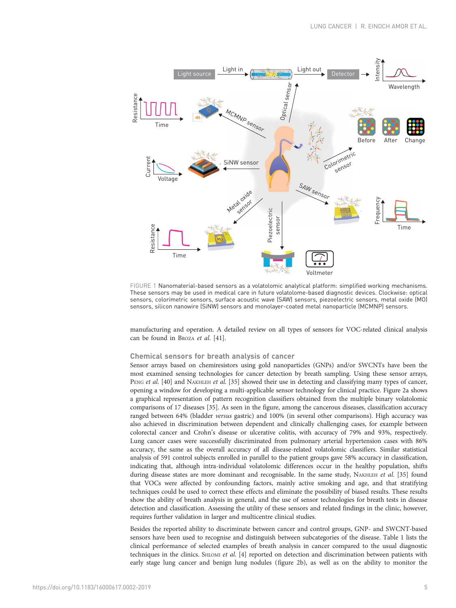<span id="page-4-0"></span>

FIGURE 1 Nanomaterial-based sensors as a volatolomic analytical platform: simplified working mechanisms. These sensors may be used in medical care in future volatolome-based diagnostic devices. Clockwise: optical sensors, colorimetric sensors, surface acoustic wave (SAW) sensors, piezoelectric sensors, metal oxide (MO) sensors, silicon nanowire (SiNW) sensors and monolayer-coated metal nanoparticle (MCMNP) sensors.

manufacturing and operation. A detailed review on all types of sensors for VOC-related clinical analysis can be found in BROZA et al. [[41](#page-8-0)].

### Chemical sensors for breath analysis of cancer

Sensor arrays based on chemiresistors using gold nanoparticles (GNPs) and/or SWCNTs have been the most examined sensing technologies for cancer detection by breath sampling. Using these sensor arrays, PENG et al. [[40](#page-8-0)] and NAKHLEH et al. [[35](#page-8-0)] showed their use in detecting and classifying many types of cancer, opening a window for developing a multi-applicable sensor technology for clinical practice. [Figure 2a](#page-5-0) shows a graphical representation of pattern recognition classifiers obtained from the multiple binary volatolomic comparisons of 17 diseases [\[35](#page-8-0)]. As seen in the figure, among the cancerous diseases, classification accuracy ranged between 64% (bladder versus gastric) and 100% (in several other comparisons). High accuracy was also achieved in discrimination between dependent and clinically challenging cases, for example between colorectal cancer and Crohn's disease or ulcerative colitis, with accuracy of 79% and 93%, respectively. Lung cancer cases were successfully discriminated from pulmonary arterial hypertension cases with 86% accuracy, the same as the overall accuracy of all disease-related volatolomic classifiers. Similar statistical analysis of 591 control subjects enrolled in parallel to the patient groups gave 58% accuracy in classification, indicating that, although intra-individual volatolomic differences occur in the healthy population, shifts during disease states are more dominant and recognisable. In the same study, NAKHLEH et al. [[35\]](#page-8-0) found that VOCs were affected by confounding factors, mainly active smoking and age, and that stratifying techniques could be used to correct these effects and eliminate the possibility of biased results. These results show the ability of breath analysis in general, and the use of sensor technologies for breath tests in disease detection and classification. Assessing the utility of these sensors and related findings in the clinic, however, requires further validation in larger and multicentre clinical studies.

Besides the reported ability to discriminate between cancer and control groups, GNP- and SWCNT-based sensors have been used to recognise and distinguish between subcategories of the disease. [Table 1](#page-1-0) lists the clinical performance of selected examples of breath analysis in cancer compared to the usual diagnostic techniques in the clinics. SHLOMI et al. [[4](#page-7-0)] reported on detection and discrimination between patients with early stage lung cancer and benign lung nodules [\(figure 2b](#page-5-0)), as well as on the ability to monitor the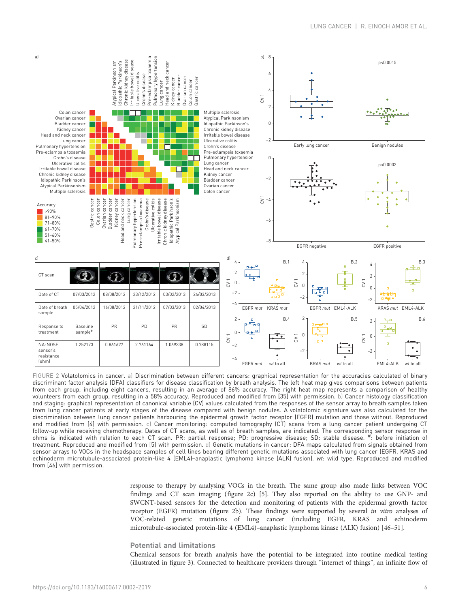<span id="page-5-0"></span>

FIGURE 2 Volatolomics in cancer. a) Discrimination between different cancers: graphical representation for the accuracies calculated of binary discriminant factor analysis (DFA) classifiers for disease classification by breath analysis. The left heat map gives comparisons between patients from each group, including eight cancers, resulting in an average of 86% accuracy. The right heat map represents a comparison of healthy volunteers from each group, resulting in a 58% accuracy. Reproduced and modified from [[35](#page-8-0)] with permission. b) Cancer histology classification and staging: graphical representation of canonical variable (CV) values calculated from the responses of the sensor array to breath samples taken from lung cancer patients at early stages of the disease compared with benign nodules. A volatolomic signature was also calculated for the discrimination between lung cancer patients harbouring the epidermal growth factor receptor (EGFR) mutation and those without. Reproduced and modified from [[4](#page-7-0)] with permission. c) Cancer monitoring: computed tomography (CT) scans from a lung cancer patient undergoing CT follow-up while receiving chemotherapy. Dates of CT scans, as well as of breath samples, are indicated. The corresponding sensor response in ohms is indicated with relation to each CT scan. PR: partial response; PD: progressive disease; SD: stable disease. #: before initiation of treatment. Reproduced and modified from [[5\]](#page-8-0) with permission. d) Genetic mutations in cancer: DFA maps calculated from signals obtained from sensor arrays to VOCs in the headspace samples of cell lines bearing different genetic mutations associated with lung cancer (EGFR, KRAS and echinoderm microtubule-associated protein-like 4 (EML4)–anaplastic lymphoma kinase (ALK) fusion). wt: wild type. Reproduced and modified from [\[46\]](#page-9-0) with permission.

> response to therapy by analysing VOCs in the breath. The same group also made links between VOC findings and CT scan imaging (figure 2c) [[5\]](#page-8-0). They also reported on the ability to use GNP- and SWCNT-based sensors for the detection and monitoring of patients with the epidermal growth factor receptor (EGFR) mutation (figure 2b). These findings were supported by several in vitro analyses of VOC-related genetic mutations of lung cancer (including EGFR, KRAS and echinoderm microtubule-associated protein-like 4 (EML4)–anaplastic lymphoma kinase (ALK) fusion) [[46](#page-9-0)–[51\]](#page-9-0).

# Potential and limitations

Chemical sensors for breath analysis have the potential to be integrated into routine medical testing (illustrated in [figure 3\)](#page-6-0). Connected to healthcare providers through "internet of things", an infinite flow of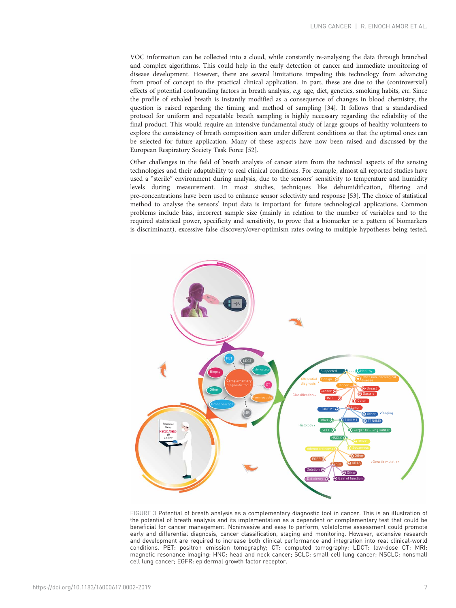<span id="page-6-0"></span>VOC information can be collected into a cloud, while constantly re-analysing the data through branched and complex algorithms. This could help in the early detection of cancer and immediate monitoring of disease development. However, there are several limitations impeding this technology from advancing from proof of concept to the practical clinical application. In part, these are due to the (controversial) effects of potential confounding factors in breath analysis, e.g. age, diet, genetics, smoking habits, etc. Since the profile of exhaled breath is instantly modified as a consequence of changes in blood chemistry, the question is raised regarding the timing and method of sampling [\[34](#page-8-0)]. It follows that a standardised protocol for uniform and repeatable breath sampling is highly necessary regarding the reliability of the final product. This would require an intensive fundamental study of large groups of healthy volunteers to explore the consistency of breath composition seen under different conditions so that the optimal ones can be selected for future application. Many of these aspects have now been raised and discussed by the European Respiratory Society Task Force [[52\]](#page-9-0).

Other challenges in the field of breath analysis of cancer stem from the technical aspects of the sensing technologies and their adaptability to real clinical conditions. For example, almost all reported studies have used a "sterile" environment during analysis, due to the sensors' sensitivity to temperature and humidity levels during measurement. In most studies, techniques like dehumidification, filtering and pre-concentrations have been used to enhance sensor selectivity and response [\[53\]](#page-9-0). The choice of statistical method to analyse the sensors' input data is important for future technological applications. Common problems include bias, incorrect sample size (mainly in relation to the number of variables and to the required statistical power, specificity and sensitivity, to prove that a biomarker or a pattern of biomarkers is discriminant), excessive false discovery/over-optimism rates owing to multiple hypotheses being tested,



FIGURE 3 Potential of breath analysis as a complementary diagnostic tool in cancer. This is an illustration of the potential of breath analysis and its implementation as a dependent or complementary test that could be beneficial for cancer management. Noninvasive and easy to perform, volatolome assessment could promote early and differential diagnosis, cancer classification, staging and monitoring. However, extensive research and development are required to increase both clinical performance and integration into real clinical-world conditions. PET: positron emission tomography; CT: computed tomography; LDCT: low-dose CT; MRI: magnetic resonance imaging; HNC: head and neck cancer; SCLC: small cell lung cancer; NSCLC: nonsmall cell lung cancer; EGFR: epidermal growth factor receptor.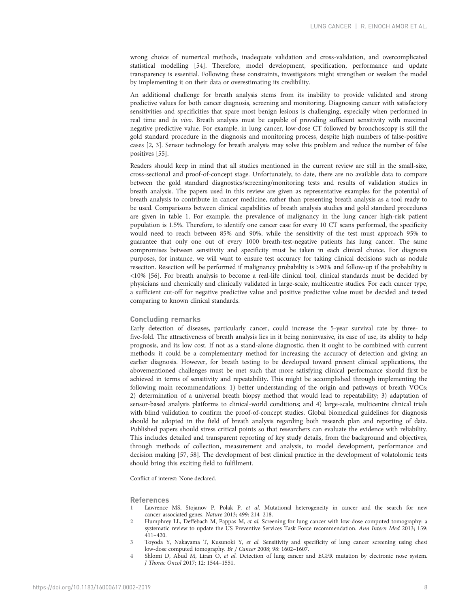<span id="page-7-0"></span>wrong choice of numerical methods, inadequate validation and cross-validation, and overcomplicated statistical modelling [\[54](#page-9-0)]. Therefore, model development, specification, performance and update transparency is essential. Following these constraints, investigators might strengthen or weaken the model by implementing it on their data or overestimating its credibility.

An additional challenge for breath analysis stems from its inability to provide validated and strong predictive values for both cancer diagnosis, screening and monitoring. Diagnosing cancer with satisfactory sensitivities and specificities that spare most benign lesions is challenging, especially when performed in real time and in vivo. Breath analysis must be capable of providing sufficient sensitivity with maximal negative predictive value. For example, in lung cancer, low-dose CT followed by bronchoscopy is still the gold standard procedure in the diagnosis and monitoring process, despite high numbers of false-positive cases [2, 3]. Sensor technology for breath analysis may solve this problem and reduce the number of false positives [[55](#page-9-0)].

Readers should keep in mind that all studies mentioned in the current review are still in the small-size, cross-sectional and proof-of-concept stage. Unfortunately, to date, there are no available data to compare between the gold standard diagnostics/screening/monitoring tests and results of validation studies in breath analysis. The papers used in this review are given as representative examples for the potential of breath analysis to contribute in cancer medicine, rather than presenting breath analysis as a tool ready to be used. Comparisons between clinical capabilities of breath analysis studies and gold standard procedures are given in [table 1](#page-1-0). For example, the prevalence of malignancy in the lung cancer high-risk patient population is 1.5%. Therefore, to identify one cancer case for every 10 CT scans performed, the specificity would need to reach between 85% and 90%, while the sensitivity of the test must approach 95% to guarantee that only one out of every 1000 breath-test-negative patients has lung cancer. The same compromises between sensitivity and specificity must be taken in each clinical choice. For diagnosis purposes, for instance, we will want to ensure test accuracy for taking clinical decisions such as nodule resection. Resection will be performed if malignancy probability is >90% and follow-up if the probability is <10% [\[56\]](#page-9-0). For breath analysis to become a real-life clinical tool, clinical standards must be decided by physicians and chemically and clinically validated in large-scale, multicentre studies. For each cancer type, a sufficient cut-off for negative predictive value and positive predictive value must be decided and tested comparing to known clinical standards.

#### Concluding remarks

Early detection of diseases, particularly cancer, could increase the 5-year survival rate by three- to five-fold. The attractiveness of breath analysis lies in it being noninvasive, its ease of use, its ability to help prognosis, and its low cost. If not as a stand-alone diagnostic, then it ought to be combined with current methods; it could be a complementary method for increasing the accuracy of detection and giving an earlier diagnosis. However, for breath testing to be developed toward present clinical applications, the abovementioned challenges must be met such that more satisfying clinical performance should first be achieved in terms of sensitivity and repeatability. This might be accomplished through implementing the following main recommendations: 1) better understanding of the origin and pathways of breath VOCs; 2) determination of a universal breath biopsy method that would lead to repeatability; 3) adaptation of sensor-based analysis platforms to clinical-world conditions; and 4) large-scale, multicentre clinical trials with blind validation to confirm the proof-of-concept studies. Global biomedical guidelines for diagnosis should be adopted in the field of breath analysis regarding both research plan and reporting of data. Published papers should stress critical points so that researchers can evaluate the evidence with reliability. This includes detailed and transparent reporting of key study details, from the background and objectives, through methods of collection, measurement and analysis, to model development, performance and decision making [\[57, 58\]](#page-9-0). The development of best clinical practice in the development of volatolomic tests should bring this exciting field to fulfilment.

Conflict of interest: None declared.

#### References

- 1 Lawrence MS, Stojanov P, Polak P, et al. Mutational heterogeneity in cancer and the search for new cancer-associated genes. Nature 2013; 499: 214–218.
- 2 Humphrey LL, Deffebach M, Pappas M, et al. Screening for lung cancer with low-dose computed tomography: a systematic review to update the US Preventive Services Task Force recommendation. Ann Intern Med 2013; 159: 411–420.
- 3 Toyoda Y, Nakayama T, Kusunoki Y, et al. Sensitivity and specificity of lung cancer screening using chest low-dose computed tomography. Br J Cancer 2008; 98: 1602–1607.
- 4 Shlomi D, Abud M, Liran O, et al. Detection of lung cancer and EGFR mutation by electronic nose system. J Thorac Oncol 2017; 12: 1544–1551.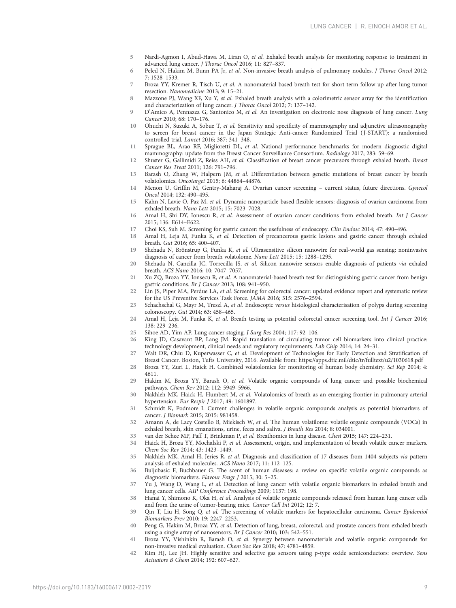- <span id="page-8-0"></span>5 Nardi-Agmon I, Abud-Hawa M, Liran O, et al. Exhaled breath analysis for monitoring response to treatment in advanced lung cancer. J Thorac Oncol 2016; 11: 827–837.
- 6 Peled N, Hakim M, Bunn PA Ir, et al. Non-invasive breath analysis of pulmonary nodules. *J Thorac Oncol* 2012; 7: 1528–1533.
- 7 Broza YY, Kremer R, Tisch U, et al. A nanomaterial-based breath test for short-term follow-up after lung tumor resection. Nanomedicine 2013; 9: 15–21.
- 8 Mazzone PJ, Wang XF, Xu Y, et al. Exhaled breath analysis with a colorimetric sensor array for the identification and characterization of lung cancer. J Thorac Oncol 2012; 7: 137–142.
- 9 D'Amico A, Pennazza G, Santonico M, et al. An investigation on electronic nose diagnosis of lung cancer. Lung Cancer 2010; 68: 170–176.
- 10 Ohuchi N, Suzuki A, Sobue T, et al. Sensitivity and specificity of mammography and adjunctive ultrasonography to screen for breast cancer in the Japan Strategic Anti-cancer Randomized Trial ( J-START): a randomised controlled trial. Lancet 2016; 387: 341–348.
- 11 Sprague BL, Arao RF, Miglioretti DL, et al. National performance benchmarks for modern diagnostic digital mammography: update from the Breast Cancer Surveillance Consortium. Radiology 2017; 283: 59–69.
- 12 Shuster G, Gallimidi Z, Reiss AH, et al. Classification of breast cancer precursors through exhaled breath. Breast Cancer Res Treat 2011; 126: 791–796.
- 13 Barash O, Zhang W, Halpern JM, et al. Differentiation between genetic mutations of breast cancer by breath volatolomics. Oncotarget 2015; 6: 44864–44876.
- 14 Menon U, Griffin M, Gentry-Maharaj A. Ovarian cancer screening current status, future directions. Gynecol Oncol 2014; 132: 490–495.
- 15 Kahn N, Lavie O, Paz M, et al. Dynamic nanoparticle-based flexible sensors: diagnosis of ovarian carcinoma from exhaled breath. Nano Lett 2015; 15: 7023–7028.
- 16 Amal H, Shi DY, Ionescu R, et al. Assessment of ovarian cancer conditions from exhaled breath. Int J Cancer 2015; 136: E614–E622.
- 17 Choi KS, Suh M. Screening for gastric cancer: the usefulness of endoscopy. Clin Endosc 2014; 47: 490–496.
- 18 Amal H, Leja M, Funka K, et al. Detection of precancerous gastric lesions and gastric cancer through exhaled breath. Gut 2016; 65: 400–407.
- 19 Shehada N, Brönstrup G, Funka K, et al. Ultrasensitive silicon nanowire for real-world gas sensing: noninvasive diagnosis of cancer from breath volatolome. Nano Lett 2015; 15: 1288–1295.
- 20 Shehada N, Cancilla JC, Torrecilla JS, et al. Silicon nanowire sensors enable diagnosis of patients via exhaled breath. ACS Nano 2016; 10: 7047–7057.
- 21 Xu ZQ, Broza YY, Ionsecu R, et al. A nanomaterial-based breath test for distinguishing gastric cancer from benign gastric conditions. Br J Cancer 2013; 108: 941–950.
- 22 Lin JS, Piper MA, Perdue LA, et al. Screening for colorectal cancer: updated evidence report and systematic review for the US Preventive Services Task Force. JAMA 2016; 315: 2576–2594.
- 23 Schachschal G, Mayr M, Treszl A, et al. Endoscopic versus histological characterisation of polyps during screening colonoscopy. Gut 2014; 63: 458–465.
- 24 Amal H, Leja M, Funka K, et al. Breath testing as potential colorectal cancer screening tool. Int J Cancer 2016; 138: 229–236.
- 25 Sihoe AD, Yim AP. Lung cancer staging. J Surg Res 2004; 117: 92–106.
- 26 King JD, Casavant BP, Lang JM. Rapid translation of circulating tumor cell biomarkers into clinical practice: technology development, clinical needs and regulatory requirements. Lab Chip 2014; 14: 24–31.
- 27 Walt DR, Chiu D, Kuperwasser C, et al. Development of Technologies for Early Detection and Stratification of Breast Cancer. Boston, Tufts University, 2016. Available from:<https://apps.dtic.mil/dtic/tr/fulltext/u2/1030618.pdf>
- 28 Broza YY, Zuri L, Haick H. Combined volatolomics for monitoring of human body chemistry. Sci Rep 2014; 4: 4611.
- 29 Hakim M, Broza YY, Barash O, et al. Volatile organic compounds of lung cancer and possible biochemical pathways. Chem Rev 2012; 112: 5949–5966.
- 30 Nakhleh MK, Haick H, Humbert M, et al. Volatolomics of breath as an emerging frontier in pulmonary arterial hypertension. Eur Respir J 2017; 49: 1601897.
- 31 Schmidt K, Podmore I. Current challenges in volatile organic compounds analysis as potential biomarkers of cancer. J Biomark 2015; 2015: 981458.
- 32 Amann A, de Lacy Costello B, Miekisch W, et al. The human volatilome: volatile organic compounds (VOCs) in exhaled breath, skin emanations, urine, feces and saliva. J Breath Res 2014; 8: 034001.
- 33 van der Schee MP, Paff T, Brinkman P, et al. Breathomics in lung disease. Chest 2015; 147: 224–231.
- 34 Haick H, Broza YY, Mochalski P, et al. Assessment, origin, and implementation of breath volatile cancer markers. Chem Soc Rev 2014; 43: 1423–1449.
- 35 Nakhleh MK, Amal H, Jeries R, et al. Diagnosis and classification of 17 diseases from 1404 subjects via pattern analysis of exhaled molecules. ACS Nano 2017; 11: 112–125.
- 36 Buljubasic F, Buchbauer G. The scent of human diseases: a review on specific volatile organic compounds as diagnostic biomarkers. Flavour Fragr J 2015; 30: 5–25.
- 37 Yu J, Wang D, Wang L, et al. Detection of lung cancer with volatile organic biomarkers in exhaled breath and lung cancer cells. AIP Conference Proceedings 2009; 1137: 198.
- 38 Hanai Y, Shimono K, Oka H, et al. Analysis of volatile organic compounds released from human lung cancer cells and from the urine of tumor-bearing mice. Cancer Cell Int 2012; 12: 7.
- 39 Qin T, Liu H, Song Q, et al. The screening of volatile markers for hepatocellular carcinoma. Cancer Epidemiol Biomarkers Prev 2010; 19: 2247–2253.
- 40 Peng G, Hakim M, Broza YY, et al. Detection of lung, breast, colorectal, and prostate cancers from exhaled breath using a single array of nanosensors. Br J Cancer 2010; 103: 542–551.
- 41 Broza YY, Vishinkin R, Barash O, et al. Synergy between nanomaterials and volatile organic compounds for non-invasive medical evaluation. Chem Soc Rev 2018; 47: 4781–4859.
- 42 Kim HJ, Lee JH. Highly sensitive and selective gas sensors using p-type oxide semiconductors: overview. Sens Actuators B Chem 2014; 192: 607–627.